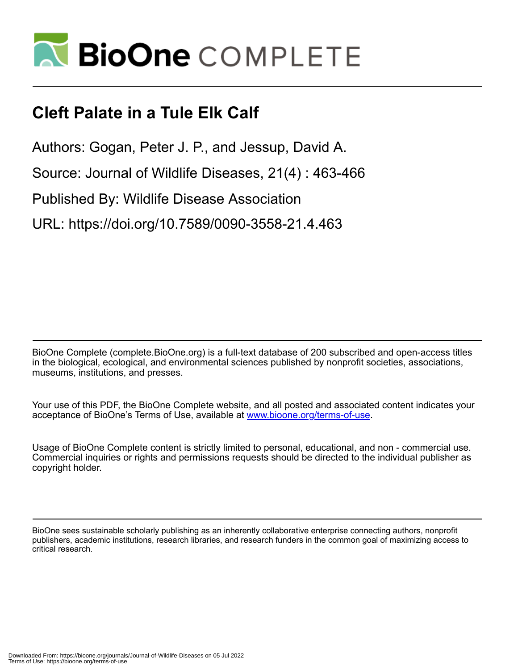

## **Cleft Palate in a Tule Elk Calf**

Authors: Gogan, Peter J. P., and Jessup, David A.

Source: Journal of Wildlife Diseases, 21(4) : 463-466

Published By: Wildlife Disease Association

URL: https://doi.org/10.7589/0090-3558-21.4.463

BioOne Complete (complete.BioOne.org) is a full-text database of 200 subscribed and open-access titles in the biological, ecological, and environmental sciences published by nonprofit societies, associations, museums, institutions, and presses.

Your use of this PDF, the BioOne Complete website, and all posted and associated content indicates your acceptance of BioOne's Terms of Use, available at www.bioone.org/terms-of-use.

Usage of BioOne Complete content is strictly limited to personal, educational, and non - commercial use. Commercial inquiries or rights and permissions requests should be directed to the individual publisher as copyright holder.

BioOne sees sustainable scholarly publishing as an inherently collaborative enterprise connecting authors, nonprofit publishers, academic institutions, research libraries, and research funders in the common goal of maximizing access to critical research.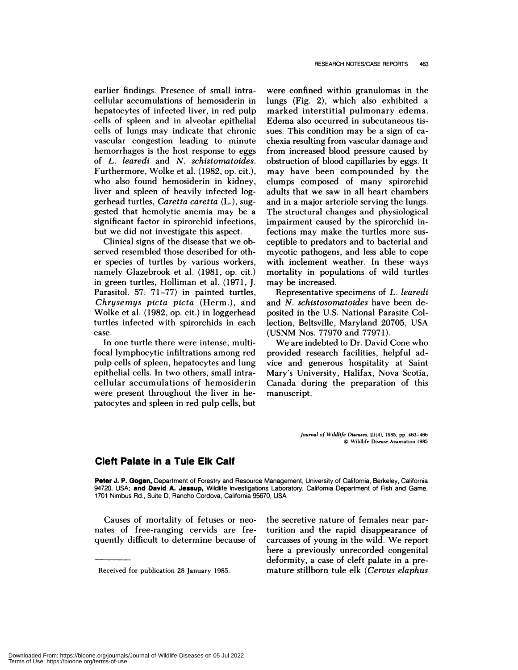earlier findings. Presence of small intracellular accumulations of hemosiderin in hepatocytes of infected liver, in red pulp cells of spleen and in alveolar epithelial cells of lungs may indicate that chronic vascular congestion leading to minute hemorrhages is the host response to eggs of *L. learedi* and *N. schistomatoides.* Furthermore, Wo!ke et al. (1982, op. cit.), who also found hemosiderin in kidney, liven and spleen of heavily infected loggerhead turtles, *Ganetta canetta* (L.), suggested that hemolytic anemia may be a significant factor in spirorchid infections, but we did not investigate this aspect.

Clinical signs of the disease that we observed resembled those described for oth er species of turtles by various workers, namely Glazebrook et al. (1981, op. cit.) in green turtles, Holliman et a!. (1971, J. Parasitol. 57: 71-77) in painted turtles, *Chnysemys picta picta* (Herm.), and Wolke et al. (1982, op. cit.) in loggerhead turtles infected with spirorchids in each case.

In one turtle there were intense, multifocal lymphocytic infiltrations among red pulp cells of spleen, hepatocytes and lung epithelial cells. In two others, small intracellular accumulations of hemosiderin were present throughout the liver in hepatocytes and spleen in red pulp cells, but

were confined within granulomas in the lungs (Fig. 2), which also exhibited a marked interstitial pulmonary edema. Edema also occurred in subcutaneous tis sues. This condition may be a sign of ca chexia resulting from vascular damage and from increased blood pressure caused by obstruction of blood capillaries by eggs. It may have been compounded by the clumps composed of many spirorchid adults that we saw in all heart chambers and in a major arteriole serving the lungs. The structural changes and physiological impairment caused by the spirorchid infections may make the turtles more sus ceptible to predators and to bacterial and mycotic pathogens, and less able to cope with inclement weather. In these ways mortality in populations of wild turtles may be increased.

Representative specimens of *L. leanedi* and *N. schistosomatoides* have been deposited in the U.S. National Parasite Co! lection, Beltsville, Maryland 20705, USA (USNM Nos. 77970 and 77971).

We are indebted to Dr. David Cone who provided research facilities, helpful advice and generous hospitality at Saint Many's University, Halifax, Nova Scotia, Canada during the preparation of this manuscript.

> *Journal of Wildlife Diseases,* 21(4), 1985, **pp.** 463-466 © Wildlife Disease Association 1985

## **Cleft Palate in a TuIe Elk Calf**

**Peter J. P. Gogan,** Department of Forestry and Resource Management, University of California, Berkeley, California 94720, USA; **and David A. Jessup,** Wildlife Investigations Laboratory, California Department of Fish and Game, 1701 Nimbus Rd., Suite D, Rancho Cordova, California 95670, USA

Causes of mortality of fetuses or neo nates of free-ranging cervids are frequently difficult to determine because of the secretive nature of females near parturition and the rapid disappearance of carcasses of young in the wild. We report here a previously unrecorded congenital deformity, a case of cleft palate in a premature stillborn tule elk *(Cenvus elaphus*

Received for publication 28 January 1985.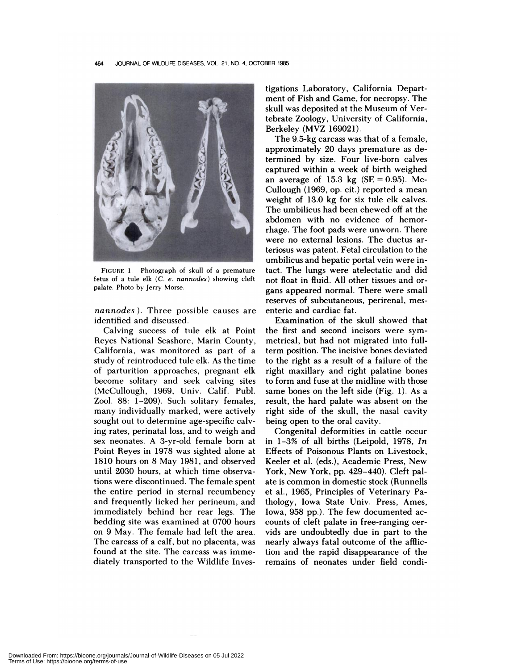

**FIGURE** 1. Photograph of skull of a premature fetus of a tule elk *(C. e. nannodes)* showing cleft palate. Photo by Jerry Morse.

*nannodes).* Three possible causes are identified and discussed.

Calving success of tule elk at Point Reyes National Seashore, Marin County, California, was monitored as pant of a study of reintroduced tule elk. As the time of pantunition approaches, pregnant elk become solitary and seek calving sites (McCullough, 1969, Univ. Calif. Pub!. Zoo!. 88: 1-209). Such solitary females, many individually marked, were actively sought out to determine age-specific calving rates, perinatal loss, and to weigh and sex neonates. A 3-yr-old female born at Point Reyes in 1978 was sighted alone at 1810 hours on 8 May 1981, and observed until 2030 hours, at which time observations were discontinued. The female spent the entire period in sternal recumbency and frequently licked her perineum, and immediately behind her rear legs. The bedding site was examined at 0700 hours on 9 May. The female had left the area. The carcass of a calf, but no placenta, was found at the site. The carcass was immediately transported to the Wildlife Investigations Laboratory, California Department of Fish and Game, for necropsy. The skull was deposited at the Museum of Vertebrate Zoology, University of California, Berkeley (MVZ 169021).

The 9.5-kg carcass was that of a female, approximately 20 days premature as determined by size. Four live-born calves captured within a week of birth weighed an average of 15.3 kg  $(SE = 0.95)$ . Mc-Cullough (1969, op. cit.) reported a mean weight of 13.0 kg for six tule elk calves. The umbilicus had been chewed off at the abdomen with no evidence of hemorrhage. The foot pads were unworn. There were no external lesions. The ductus anteniosus was patent. Fetal circulation to the umbilicus and hepatic portal vein were intact. The lungs were atelectatic and did not float in fluid. All other tissues and or gans appeared normal. There were small reserves of subcutaneous, perirenal, mesentenic and cardiac fat.

Examination of the skull showed that the first and second incisors were symmetrical, but had not migrated into fullterm position. The incisive bones deviated to the night as a result of a failure of the right maxillary and right palatine bones to form and fuse at the midline with those same bones on the left side (Fig. 1). As a result, the hard palate was absent on the right side of the skull, the nasal cavity being open to the oral cavity.

Congenital deformities in cattle occur in 1-3% of all births (Leipold, 1978, *In* Effects of Poisonous Plants on Livestock, Keeler et al. (eds.), Academic Press, New York, New York, pp. 429-440). Cleft pa! ate is common in domestic stock (Runnells et a!., 1965, Principles of Veterinary Pathology, Iowa State Univ. Press, Ames, Iowa, 958 pp.). The few documented ac counts of cleft palate in free-ranging cer vids are undoubtedly due in part to the nearly always fatal outcome of the affliction and the rapid disappearance of the remains of neonates under field condi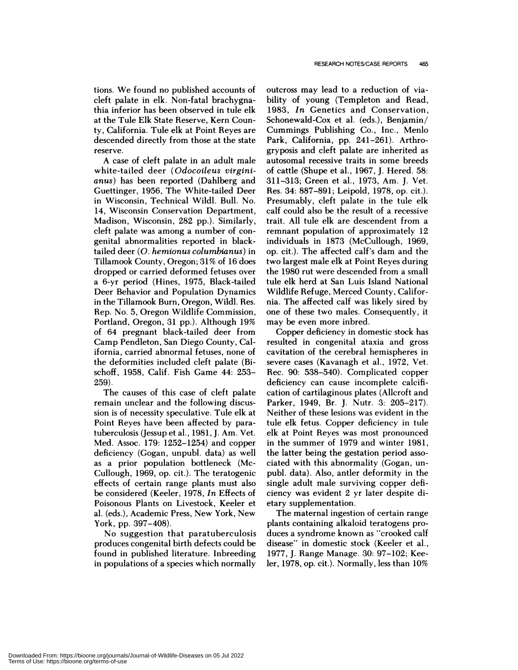tions. We found no published accounts of cleft palate in elk. Non-fatal brachygnathia inferior has been observed in tule elk at the Tule Elk State Reserve, Kern County, California. Tule elk at Point Reyes are descended directly from those at the state reserve.

A case of cleft palate in an adult male white-tailed deer *(Odocoileus virginianus)* has been reported (Dah!berg and Guettingen, 1956, The White-tailed Deer in Wisconsin, Technical Wild!. Bull. No. 14, Wisconsin Conservation Department, Madison, Wisconsin, 282 pp.). Similarly, cleft palate was among a number of con genital abnormalities reported in blacktailed deer *(0. hemionus columbianus)* in Tillamook County, Oregon; 31% of 16 does dropped or carried deformed fetuses over a 6-yr period (Hines, 1975, Black-tailed Deer Behavior and Population Dynamics in the Tillamook Burn, Oregon, Wild!. Res. Rep. No. 5, Oregon Wildlife Commission, Portland, Oregon, 31 pp.). Although 19% of 64 pregnant black-tailed deer from Camp Pendleton, San Diego County, Ca! ifornia, carried abnormal fetuses, none of the deformities included cleft palate (Bischoff, 1958, Calif. Fish Game 44: 253- 259).

The causes of this case of cleft palate remain unclean and the following discussion is of necessity speculative. Tule elk at Point Reyes have been affected by paratuberculosis (Jessup et a!., 1981, J. Am. Vet. Med. Assoc. 179: 1252-1254) and copper deficiency (Gogan, unpubl. data) as well as a prior population bottleneck (Mc-Cullough, 1969, op. cit.). The teratogenic effects of certain range plants must also be considered (Keelen, 1978, *In* Effects of Poisonous Plants on Livestock, Keeler et a!. (eds.), Academic Press, New York, New York, pp. 397-408).

No suggestion that paratuberculosis produces congenital birth defects could be found in published literature. Inbreeding in populations of a species which normally

outcross may lead to a reduction of viability of young (Templeton and Read, 1983, *In* Genetics and Conservation, Schonewald-Cox et al. (eds.), Benjamin/ Cummings Publishing Co., Inc., Menlo Park, California, pp. 241-261). Arthrogryposis and cleft palate are inherited as autosoma! recessive traits in some breeds of cattle (Shupe et a!., 1967, J. Hered. 58: 311-313; Green et a!., 1973, Am. J. Vet. Res. 34: 887-891; Leipold, 1978, op. cit.). Presumably, cleft palate in the tule elk calf could also be the result of a recessive trait. A!! tule elk are descendent from a remnant population of approximately 12 individuals in 1873 (McCullough, 1969, op. cit.). The affected calf's dam and the two largest male elk at Point Reyes during the 1980 rut were descended from a small tule elk herd at San Luis Island National Wildlife Refuge, Merced County, California. The affected calf was likely sired by one of these two males. Consequently, it may be even more inbred.

Copper deficiency in domestic stock has resulted in congenital ataxia and gross cavitation of the cerebral hemispheres in severe cases (Kavanagh et al., 1972, Vet. Rec. 90: 538-540). Complicated copper deficiency can cause incomplete calcification of cartilaginous plates (Allcroft and Parker, 1949, Br. J. Nutr. 3: 205-217). Neither of these lesions was evident in the tule elk fetus. Copper deficiency in tule elk at Point Reyes was most pronounced in the summer of 1979 and winter 1981, the latter being the gestation period asso ciated with this abnormality (Gogan, un pub!. data). Also, antler deformity in the single adult male surviving copper deficiency was evident 2 yr later despite dietary supplementation.

The maternal ingestion of certain range plants containing alkaloid teratogens produces a syndrome known as "crooked calf disease" in domestic stock (Keeler et al., 1977, J. Range Manage. 30: 97-102; Keelen, 1978, op. cit.). Normally, less than 10%